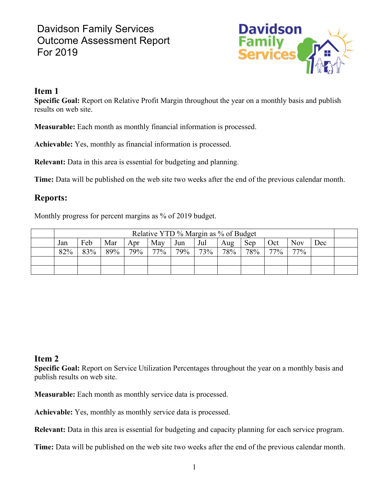# Davidson Family Services Outcome Assessment Report For 2019



#### **Item 1**

**Specific Goal:** Report on Relative Profit Margin throughout the year on a monthly basis and publish results on web site.

**Measurable:** Each month as monthly financial information is processed.

**Achievable:** Yes, monthly as financial information is processed.

**Relevant:** Data in this area is essential for budgeting and planning.

**Time:** Data will be published on the web site two weeks after the end of the previous calendar month.

### **Reports:**

Monthly progress for percent margins as % of 2019 budget.

| Relative YTD % Margin as % of Budget |     |     |     |        |     |     |        |     |     |            |     |  |
|--------------------------------------|-----|-----|-----|--------|-----|-----|--------|-----|-----|------------|-----|--|
| Jan                                  | Feb | Mar | Apr | May    | Jun | Jul | Aug    | Sep | Oct | <b>Nov</b> | Dec |  |
| 82%                                  | 83% | 89% | 79% | $77\%$ | 79% | 73% | $78\%$ | 78% | 77% | $77\%$     |     |  |
|                                      |     |     |     |        |     |     |        |     |     |            |     |  |
|                                      |     |     |     |        |     |     |        |     |     |            |     |  |

### **Item 2**

**Specific Goal:** Report on Service Utilization Percentages throughout the year on a monthly basis and publish results on web site.

**Measurable:** Each month as monthly service data is processed.

**Achievable:** Yes, monthly as monthly service data is processed.

**Relevant:** Data in this area is essential for budgeting and capacity planning for each service program.

**Time:** Data will be published on the web site two weeks after the end of the previous calendar month.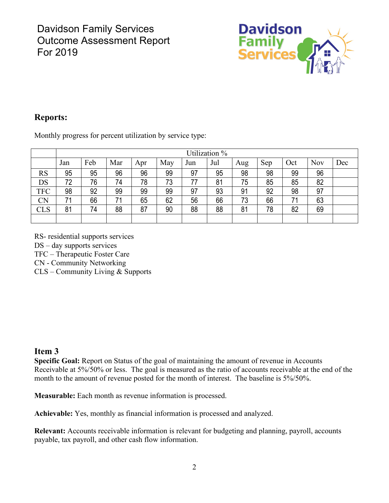

## **Reports:**

Monthly progress for percent utilization by service type:

|            | Utilization % |     |     |     |     |     |     |     |     |     |     |     |
|------------|---------------|-----|-----|-----|-----|-----|-----|-----|-----|-----|-----|-----|
|            | Jan           | Feb | Mar | Apr | May | Jun | Jul | Aug | Sep | Oct | Nov | Dec |
| <b>RS</b>  | 95            | 95  | 96  | 96  | 99  | 97  | 95  | 98  | 98  | 99  | 96  |     |
| DS         | 72            | 76  | 74  | 78  | 73  | 77  | 81  | 75  | 85  | 85  | 82  |     |
| <b>TFC</b> | 98            | 92  | 99  | 99  | 99  | 97  | 93  | 91  | 92  | 98  | 97  |     |
| <b>CN</b>  | 71            | 66  | 71  | 65  | 62  | 56  | 66  | 73  | 66  | 71  | 63  |     |
| <b>CLS</b> | 81            | 74  | 88  | 87  | 90  | 88  | 88  | 81  | 78  | 82  | 69  |     |
|            |               |     |     |     |     |     |     |     |     |     |     |     |

RS- residential supports services

DS – day supports services

TFC – Therapeutic Foster Care

CN - Community Networking

CLS – Community Living & Supports

### **Item 3**

**Specific Goal:** Report on Status of the goal of maintaining the amount of revenue in Accounts Receivable at 5%/50% or less. The goal is measured as the ratio of accounts receivable at the end of the month to the amount of revenue posted for the month of interest. The baseline is 5%/50%.

**Measurable:** Each month as revenue information is processed.

**Achievable:** Yes, monthly as financial information is processed and analyzed.

**Relevant:** Accounts receivable information is relevant for budgeting and planning, payroll, accounts payable, tax payroll, and other cash flow information.